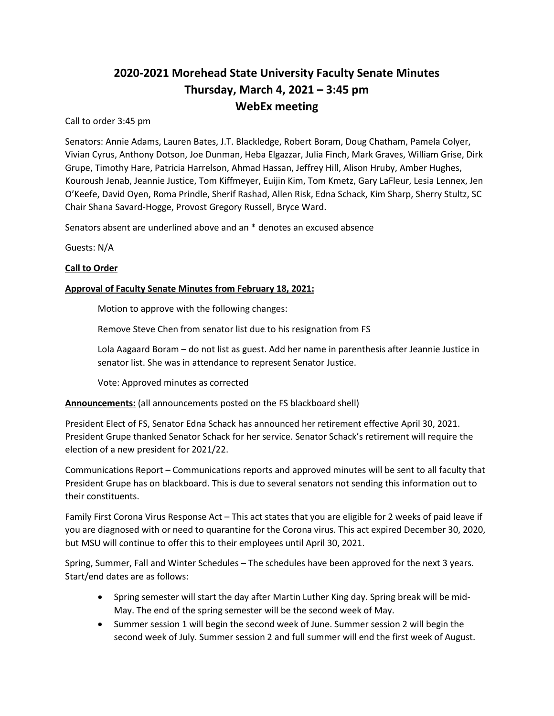# **2020-2021 Morehead State University Faculty Senate Minutes Thursday, March 4, 2021 – 3:45 pm WebEx meeting**

Call to order 3:45 pm

Senators: Annie Adams, Lauren Bates, J.T. Blackledge, Robert Boram, Doug Chatham, Pamela Colyer, Vivian Cyrus, Anthony Dotson, Joe Dunman, Heba Elgazzar, Julia Finch, Mark Graves, William Grise, Dirk Grupe, Timothy Hare, Patricia Harrelson, Ahmad Hassan, Jeffrey Hill, Alison Hruby, Amber Hughes, Kouroush Jenab, Jeannie Justice, Tom Kiffmeyer, Euijin Kim, Tom Kmetz, Gary LaFleur, Lesia Lennex, Jen O'Keefe, David Oyen, Roma Prindle, Sherif Rashad, Allen Risk, Edna Schack, Kim Sharp, Sherry Stultz, SC Chair Shana Savard-Hogge, Provost Gregory Russell, Bryce Ward.

Senators absent are underlined above and an \* denotes an excused absence

Guests: N/A

## **Call to Order**

## **Approval of Faculty Senate Minutes from February 18, 2021:**

Motion to approve with the following changes:

Remove Steve Chen from senator list due to his resignation from FS

Lola Aagaard Boram – do not list as guest. Add her name in parenthesis after Jeannie Justice in senator list. She was in attendance to represent Senator Justice.

Vote: Approved minutes as corrected

**Announcements:** (all announcements posted on the FS blackboard shell)

President Elect of FS, Senator Edna Schack has announced her retirement effective April 30, 2021. President Grupe thanked Senator Schack for her service. Senator Schack's retirement will require the election of a new president for 2021/22.

Communications Report – Communications reports and approved minutes will be sent to all faculty that President Grupe has on blackboard. This is due to several senators not sending this information out to their constituents.

Family First Corona Virus Response Act – This act states that you are eligible for 2 weeks of paid leave if you are diagnosed with or need to quarantine for the Corona virus. This act expired December 30, 2020, but MSU will continue to offer this to their employees until April 30, 2021.

Spring, Summer, Fall and Winter Schedules – The schedules have been approved for the next 3 years. Start/end dates are as follows:

- Spring semester will start the day after Martin Luther King day. Spring break will be mid-May. The end of the spring semester will be the second week of May.
- Summer session 1 will begin the second week of June. Summer session 2 will begin the second week of July. Summer session 2 and full summer will end the first week of August.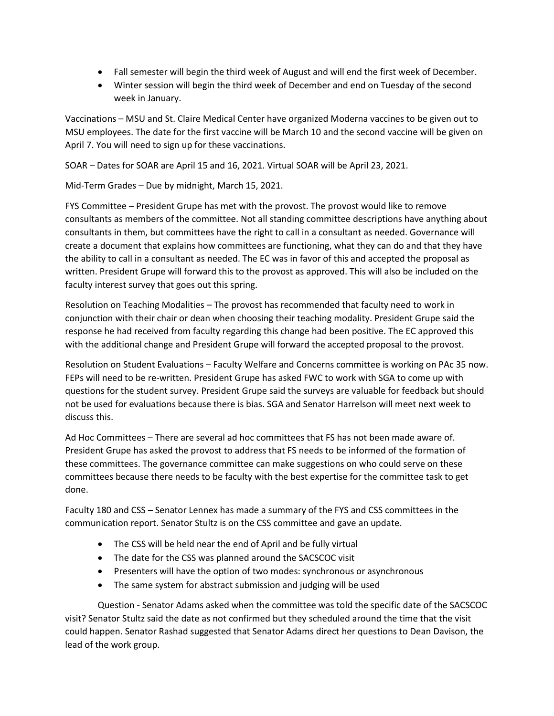- Fall semester will begin the third week of August and will end the first week of December.
- Winter session will begin the third week of December and end on Tuesday of the second week in January.

Vaccinations – MSU and St. Claire Medical Center have organized Moderna vaccines to be given out to MSU employees. The date for the first vaccine will be March 10 and the second vaccine will be given on April 7. You will need to sign up for these vaccinations.

SOAR – Dates for SOAR are April 15 and 16, 2021. Virtual SOAR will be April 23, 2021.

Mid-Term Grades – Due by midnight, March 15, 2021.

FYS Committee – President Grupe has met with the provost. The provost would like to remove consultants as members of the committee. Not all standing committee descriptions have anything about consultants in them, but committees have the right to call in a consultant as needed. Governance will create a document that explains how committees are functioning, what they can do and that they have the ability to call in a consultant as needed. The EC was in favor of this and accepted the proposal as written. President Grupe will forward this to the provost as approved. This will also be included on the faculty interest survey that goes out this spring.

Resolution on Teaching Modalities – The provost has recommended that faculty need to work in conjunction with their chair or dean when choosing their teaching modality. President Grupe said the response he had received from faculty regarding this change had been positive. The EC approved this with the additional change and President Grupe will forward the accepted proposal to the provost.

Resolution on Student Evaluations – Faculty Welfare and Concerns committee is working on PAc 35 now. FEPs will need to be re-written. President Grupe has asked FWC to work with SGA to come up with questions for the student survey. President Grupe said the surveys are valuable for feedback but should not be used for evaluations because there is bias. SGA and Senator Harrelson will meet next week to discuss this.

Ad Hoc Committees – There are several ad hoc committees that FS has not been made aware of. President Grupe has asked the provost to address that FS needs to be informed of the formation of these committees. The governance committee can make suggestions on who could serve on these committees because there needs to be faculty with the best expertise for the committee task to get done.

Faculty 180 and CSS – Senator Lennex has made a summary of the FYS and CSS committees in the communication report. Senator Stultz is on the CSS committee and gave an update.

- The CSS will be held near the end of April and be fully virtual
- The date for the CSS was planned around the SACSCOC visit
- Presenters will have the option of two modes: synchronous or asynchronous
- The same system for abstract submission and judging will be used

Question - Senator Adams asked when the committee was told the specific date of the SACSCOC visit? Senator Stultz said the date as not confirmed but they scheduled around the time that the visit could happen. Senator Rashad suggested that Senator Adams direct her questions to Dean Davison, the lead of the work group.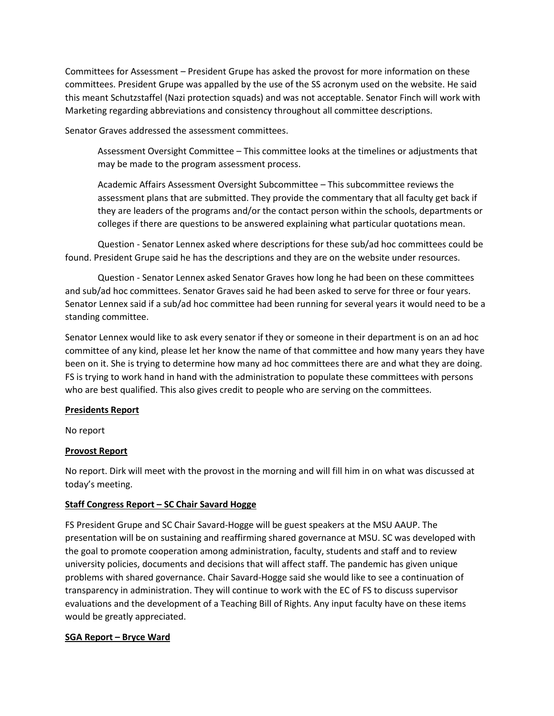Committees for Assessment – President Grupe has asked the provost for more information on these committees. President Grupe was appalled by the use of the SS acronym used on the website. He said this meant Schutzstaffel (Nazi protection squads) and was not acceptable. Senator Finch will work with Marketing regarding abbreviations and consistency throughout all committee descriptions.

Senator Graves addressed the assessment committees.

Assessment Oversight Committee – This committee looks at the timelines or adjustments that may be made to the program assessment process.

Academic Affairs Assessment Oversight Subcommittee – This subcommittee reviews the assessment plans that are submitted. They provide the commentary that all faculty get back if they are leaders of the programs and/or the contact person within the schools, departments or colleges if there are questions to be answered explaining what particular quotations mean.

Question - Senator Lennex asked where descriptions for these sub/ad hoc committees could be found. President Grupe said he has the descriptions and they are on the website under resources.

Question - Senator Lennex asked Senator Graves how long he had been on these committees and sub/ad hoc committees. Senator Graves said he had been asked to serve for three or four years. Senator Lennex said if a sub/ad hoc committee had been running for several years it would need to be a standing committee.

Senator Lennex would like to ask every senator if they or someone in their department is on an ad hoc committee of any kind, please let her know the name of that committee and how many years they have been on it. She is trying to determine how many ad hoc committees there are and what they are doing. FS is trying to work hand in hand with the administration to populate these committees with persons who are best qualified. This also gives credit to people who are serving on the committees.

# **Presidents Report**

No report

# **Provost Report**

No report. Dirk will meet with the provost in the morning and will fill him in on what was discussed at today's meeting.

# **Staff Congress Report – SC Chair Savard Hogge**

FS President Grupe and SC Chair Savard-Hogge will be guest speakers at the MSU AAUP. The presentation will be on sustaining and reaffirming shared governance at MSU. SC was developed with the goal to promote cooperation among administration, faculty, students and staff and to review university policies, documents and decisions that will affect staff. The pandemic has given unique problems with shared governance. Chair Savard-Hogge said she would like to see a continuation of transparency in administration. They will continue to work with the EC of FS to discuss supervisor evaluations and the development of a Teaching Bill of Rights. Any input faculty have on these items would be greatly appreciated.

#### **SGA Report – Bryce Ward**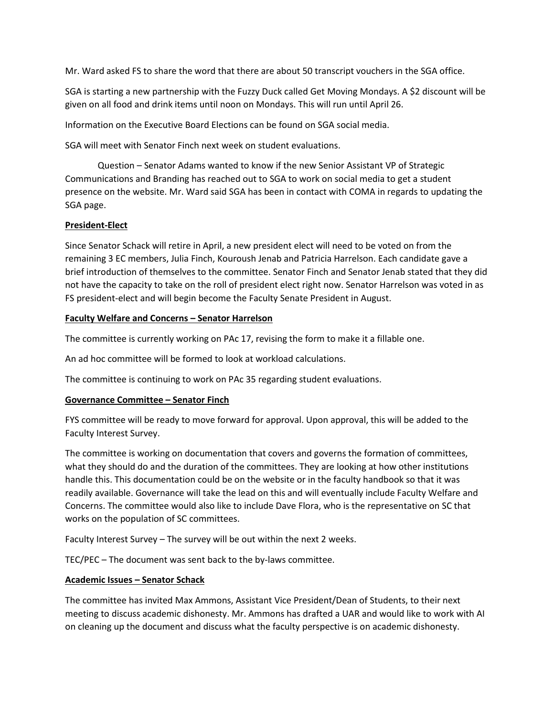Mr. Ward asked FS to share the word that there are about 50 transcript vouchers in the SGA office.

SGA is starting a new partnership with the Fuzzy Duck called Get Moving Mondays. A \$2 discount will be given on all food and drink items until noon on Mondays. This will run until April 26.

Information on the Executive Board Elections can be found on SGA social media.

SGA will meet with Senator Finch next week on student evaluations.

Question – Senator Adams wanted to know if the new Senior Assistant VP of Strategic Communications and Branding has reached out to SGA to work on social media to get a student presence on the website. Mr. Ward said SGA has been in contact with COMA in regards to updating the SGA page.

## **President-Elect**

Since Senator Schack will retire in April, a new president elect will need to be voted on from the remaining 3 EC members, Julia Finch, Kouroush Jenab and Patricia Harrelson. Each candidate gave a brief introduction of themselves to the committee. Senator Finch and Senator Jenab stated that they did not have the capacity to take on the roll of president elect right now. Senator Harrelson was voted in as FS president-elect and will begin become the Faculty Senate President in August.

## **Faculty Welfare and Concerns – Senator Harrelson**

The committee is currently working on PAc 17, revising the form to make it a fillable one.

An ad hoc committee will be formed to look at workload calculations.

The committee is continuing to work on PAc 35 regarding student evaluations.

# **Governance Committee – Senator Finch**

FYS committee will be ready to move forward for approval. Upon approval, this will be added to the Faculty Interest Survey.

The committee is working on documentation that covers and governs the formation of committees, what they should do and the duration of the committees. They are looking at how other institutions handle this. This documentation could be on the website or in the faculty handbook so that it was readily available. Governance will take the lead on this and will eventually include Faculty Welfare and Concerns. The committee would also like to include Dave Flora, who is the representative on SC that works on the population of SC committees.

Faculty Interest Survey – The survey will be out within the next 2 weeks.

TEC/PEC – The document was sent back to the by-laws committee.

# **Academic Issues – Senator Schack**

The committee has invited Max Ammons, Assistant Vice President/Dean of Students, to their next meeting to discuss academic dishonesty. Mr. Ammons has drafted a UAR and would like to work with AI on cleaning up the document and discuss what the faculty perspective is on academic dishonesty.